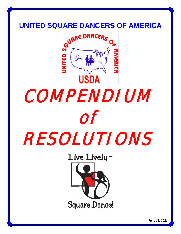

# COMPENDIUM of RESOLUTIONS

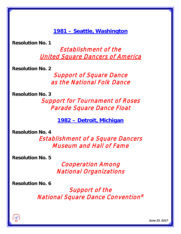**1981 – Seattle, Washington**

**Resolution No. 1**

Establishment of the United Square Dancers of America

**Resolution No. 2**

Support of Square Dance as the National Folk Dance

**Resolution No. 3**

Support for Tournament of Roses Parade Square Dance Float

**1982 – Detroit, Michigan**

**Resolution No. 4**

Establishment of a Square Dancers Museum and Hall of Fame

**Resolution No. 5**

Cooperation Among National Organizations

**Resolution No. 6**

Support of the National Square Dance Convention®

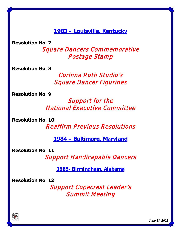**1983 – Louisville, Kentucky**

**Resolution No. 7**

Square Dancers Commemorative Postage Stamp

**Resolution No. 8**

Corinna Roth Studio's Square Dancer Figurines

**Resolution No. 9**

#### Support for the National Executive Committee

**Resolution No. 10**

Reaffirm Previous Resolutions

**1984 – Baltimore, Maryland** 

**Resolution No. 11**

Support Handicapable Dancers

**1985- Birmingham, Alabama**

**Resolution No. 12**

Support Copecrest Leader's Summit Meeting

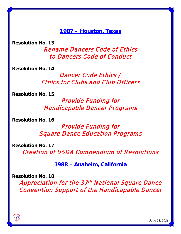**1987 – Houston, Texas** 

**Resolution No. 13**

Rename Dancers Code of Ethics to Dancers Code of Conduct

**Resolution No. 14**

Dancer Code Ethics / Ethics for Clubs and Club Officers

**Resolution No. 15**

Provide Funding for Handicapable Dancer Programs

**Resolution No. 16**

Provide Funding for Square Dance Education Programs

**Resolution No. 17**

Creation of USDA Compendium of Resolutions

**1988 – Anaheim, California** 

**Resolution No. 18**

Appreciation for the 37<sup>th</sup> National Square Dance Convention Support of the Handicapable Dancer

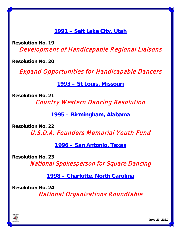**1991 – Salt Lake City, Utah**

**Resolution No. 19** Development of Handicapable Regional Liaisons

**Resolution No. 20**

Expand Opportunities for Handicapable Dancers

**1993 – St Louis, Missouri** 

**Resolution No. 21**

Country Western Dancing Resolution

**1995 – Birmingham, Alabama** 

**Resolution No. 22**

U.S.D.A. Founders Memorial Youth Fund

**1996 – San Antonio, Texas** 

**Resolution No. 23**

National Spokesperson for Square Dancing

**1998 – Charlotte, North Carolina** 

**Resolution No. 24**

National Organizations Roundtable

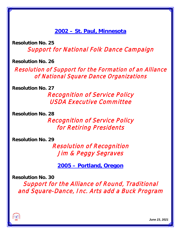**2002 – St. Paul, Minnesota** 

**Resolution No. 25** Support for National Folk Dance Campaign

**Resolution No. 26**

Resolution of Support for the Formation of an Alliance of National Square Dance Organizations

**Resolution No. 27**

Recognition of Service Policy USDA Executive Committee

**Resolution No. 28**

Recognition of Service Policy for Retiring Presidents

**Resolution No. 29**

Resolution of Recognition Jim & Peggy Segraves

**2005 – Portland, Oregon** 

**Resolution No. 30**

Support for the Alliance of Round, Traditional and Square-Dance, Inc. Arts add a Buck Program

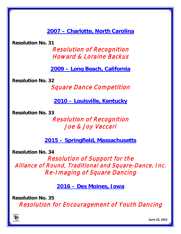**2007 – Charlotte, North Carolina**

**Resolution No. 31**

Resolution of Recognition Howard & Loraine Backus

**2009 – Long Beach, California**

**Resolution No. 32**

Square Dance Competition

**2010 – Louisville, Kentucky**

**Resolution No. 33**

Resolution of Recognition Joe & Joy Vaccari

**2015 – Springfield, Massachusetts**

**Resolution No. 34** 

Resolution of Support for the Alliance of Round, Traditional and Square-Dance, Inc. Re-Imaging of Square Dancing

**2016 – Des Moines, Iowa**

**Resolution No. 35**  Resolution for Encouragement of Youth Dancing

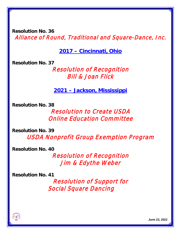**Resolution No. 36**  Alliance of Round, Traditional and Square-Dance, Inc.

**2017 – Cincinnati, Ohio**

**Resolution No. 37**

Resolution of Recognition Bill & Joan Flick

**2021 – Jackson, Mississippi**

**Resolution No. 38**

Resolution to Create USDA Online Education Committee

**Resolution No. 39** USDA Nonprofit Group Exemption Program

**Resolution No. 40**

Resolution of Recognition Jim & Edythe Weber

**Resolution No. 41**

Resolution of Support for Social Square Dancing

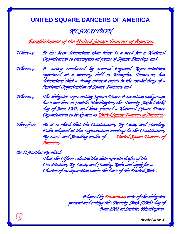#### *RESOLUTION*

#### *Establishment of the United Square Dancers of America*

*Whereas; It has been determined that there is a need for a National Organization to encompass all forms of Square Dancing; and,* 

*Whereas; A survey conducted by several Regional Representatives appointed at a meeting held in Memphis, Tennessee, has determined that a strong interest exists in the establishing of a National Organization of Square Dancers; and,* 

*Whereas; The delegates representing Square Dance Association and groups have met here in Seattle, Washington, this Twenty-Sixth (26th) day of June 1981, and have formed a National Square Dance Organization to be known as United Square Dancers of America;* 

*Therefore: Be it resolved that the Constitution, By-Laws, and Standing Rules adopted at this organization meeting be the Constitution, By-Laws and Standing mules of United Square Dancers of America;* 

*Be 1t Further Resolved;* 

*That the Officers elected this date execute drafts of the Constitution, By-Laws, and Standing Rules and apply for a Charter of incorporation under the laws of the United States.* 

> *Adopted by Unanimous vote of the delegates present and voting this Twenty-Sixth (26th) day of June 1981 at Seattle, Washington.*

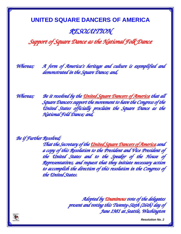#### *RESOLUTION*

*Support of Square Dance as the National Folk Dance* 

*Whereas; A form of America's heritage and culture is exemplified and demonstrated in the Square Dance; and,* 

*Whereas; Be it resolved by the United Square Dancers of America that all Square Dancers support the movement to have the Congress of the United States officially proclaim the Square Dance as the National Fold Dance; and,* 

*Be if Further Resolved;* 

*That the Secretary of the United Square Dancers of America send a copy of this Resolution to the President and Vice President of the United States and to the Speaker of the House of Representatives, and request that they initiate necessary action to accomplish the direction of this resolution in the Congress of the United States.* 

> *Adopted by Unanimous vote of the delegates present and voting this Twenty-Sixth (26th) day of June 1981 at Seattle, Washington*

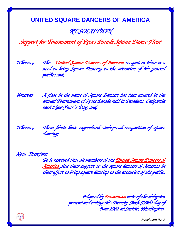#### *RESOLUTION*

*Support for Tournament of Roses Parade Square Dance Float* 

*Whereas; The United Square Dancers of America recognizes there is a need to bring Square Dancing to the attention of the general public; and,* 

*Whereas; A float in the name of Square Dancers has been entered in the annual Tournament of Roses Parade held in Pasadena, California each New Year's Day; and,* 

*Whereas; These floats have engendered widespread recognition of square dancing;* 

*Now, Therefore:* 

*Be it resolved that all members of the United Square Dancers of America give their support to the square dancers of America in their effort to bring square dancing to the attention of the public.* 

> *Adopted by Unanimous vote of the delegates present and voting this Twenty-Sixth (26th) day of June 1981 at Seattle, Washington.*

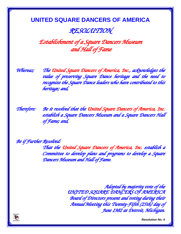#### *RESOLUTION*

*Establishment of a Square Dancers Museum and Hall of Fame* 

*Whereas; The United Square Dancers of America, Inc., acknowledges the value of preserving Square Dance heritage and the need to recognize the Square Dance leaders who have contributed to this heritage; and,* 

*Therefore: Be it resolved that the United Square Dancers of America, Inc. establish a Square Dancers Museum and a Square Dancers Hall of Fame; and,* 

*Be if Further Resolved:* 

*That the United Square Dancers of America, Inc. establish a Committee to develop plans and programs to develop a Square Dancers Museum and Hall of Fame.* 

> *Adopted by majority vote of the UNITED SQUARE DANCERS OF AMERICA Board of Directors present and voting during their Annual Meeting this Twenty-Fifth (25th) day of June 1982 at Detroit, Michigan.*

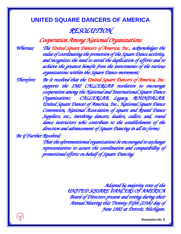#### *RESOLUTION*

*Cooperation Among National Organizations Whereas; The United Square Dancers of America, Inc., acknowledges the value of coordinating the promotion of the Square Dance activity, and recognizes the need to avoid the duplication of efforts and to achieve the greatest benefit from the investments of the various organizations within the Square Dance movement;* 

*Therefore: Be it resolved that the United Square Dancers of America, Inc. supports the 1982 CALLERLAB resolution to encourage cooperation among the National and International Square Dance Organizations: CALLERLAB, Legacy, ROUNDALAB, United Square Dancer of America, Inc., National Square Dance Convention, National Association of square and Round Dance Suppliers, etc., involving dancers, leaders, callers, and, round dance instructors who contribute to the establishment of the direction and advancement of Square Dancing in all its forms;* 

*Be if Further Resolved;* 

*That the aforementioned organizations be encouraged to exchange representatives to assure the coordination and compatibility of promotional efforts on behalf of Square Dancing.* 

> *Adopted by majority vote of the UNITED SQUARE DANCERS OF AMERICA Board of Directors present and voting during their Annual Meeting this Twenty-Fifth (25th) day of June 1982 at Detroit, Michigan.*

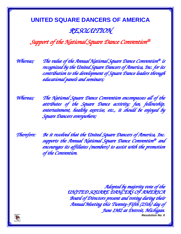### **UNITED SQUARE DANCERS OF AMERICA** *RESOLUTION*

#### *Support of the National Square Dance Convention®*

*Whereas; The value of the Annual National Square Dance Convention® is recognized by the United Square Dancers of America, Inc. for its contribution to the development of Square Dance leaders through educational panels and seminars;* 

*Whereas; The National Square Dance Convention encompasses all of the attributes of the Square Dance activity; fun, fellowship, entertainment, healthy exercise, etc., it should be enjoyed by Square Dancers everywhere;* 

*Therefore: Be it resolved that the United Square Dancers of America, Inc. supports the Annual National Square Dance Convention® and encourages its affiliates (members) to assist with the promotion of the Convention.* 

> *Resolution No. 6 Adopted by majority vote of the UNITED SQUARE DANCERS OF AMERICA Board of Directors present and voting during their Annual Meeting this Twenty-Fifth (25th) day of June 1982 at Detroit, Michigan.*

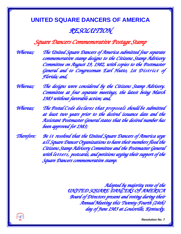#### *RESOLUTION*

#### *Square Dancers Commemorative Postage Stamp*

*Whereas; The United Square Dancers of America submitted four separate commemorative stamp designs to the Citizens Stamp Advisory Committee on August 19, 1982, with copies to the Postmaster General and to Congressman Earl Hutto, 1st District of Florida; and,* 

*Whereas; The designs were considered by the Citizens Stamp Advisory. Committee at four separate meetings, the latest being March 1983 without favorable action; and,* 

*Whereas; The Postal Code declares that proposals should be submitted at least two years prior to the desired issuance date and the Assistant Postmaster General states that the desired number has been approved for 1983;* 

*Therefore: Be i t resolved that the United Square Dancers of America urge all Square Dancer Organizations to have their members flood the Citizens Stamp Advisory Committee and the Postmaster General with letters, postcards, and petitions urging their support of the Square Dancers commemorative stamp.* 

> *Adopted by majority vote of the UNITED SQUARE DANCERS OF AMERICA Board of Directors present and voting during their Annual Meeting this Twenty-Fourth (24th) day of June 1983 at Louisville, Kentucky.*

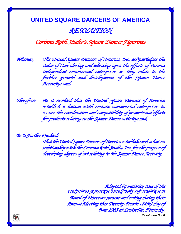#### **UNITED SQUARE DANCERS OF AMERICA** *RESOLUTION*

#### *Corinna Roth Studio's Square Dancer Figurines*

*Whereas; The United Square Dancers of America, Inc. acknowledges the value of Considering and advising upon the efforts of various independent commercial enterprises as they relate to the further growth and development of the Square Dance Activity; and,* 

*Therefore: Be it resolved that the United Square Dancers of America establish a liaison with certain commercial enterprises to assure the coordination and compatibility of promotional efforts for products relating to the Square Dance activity; and,* 

*Be It Further Resolved:* 

*That the United Square Dancers of America establish such a liaison relationship with the Corinna Roth Studio, Inc. for the purpose of developing objects of art relating to the Square Dance Activity.* 

> *Resolution No. 8 Adopted by majority vote of the UNITED SQUARE DANCERS OF AMERICA Board of Directors present and voting during their Annual Meeting this Twenty-Fourth (24th) day of June 1983 at Louisville, Kentucky.*

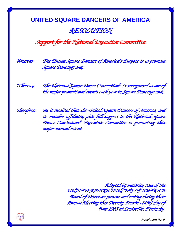#### **UNITED SQUARE DANCERS OF AMERICA** *RESOLUTION*

*Support for the National Executive Committee* 

*Whereas; The United Square Dancers of America's Purpose is to promote Square Dancing; and,* 

*Whereas; The National Square Dance Convention® i s recognized as one of the major promotional events each year in Square Dancing; and,* 

*Therefore: Be it resolved that the United Square Dancers of America, and its member affiliates, give full support to the National Square Dance Convention® Executive Committee in promoting this major annual event.* 

> *Adopted by majority vote of the UNITED SQUARE DANCERS OF AMERICA Board of Directors present and voting during their Annual Meeting this Twenty-Fourth (24th) day of June 1983 at Louisville, Kentucky.*

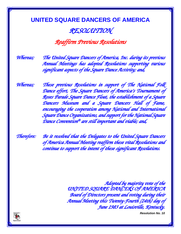#### *RESOLUTION*

#### *Reaffirm Previous Resolutions*

*Whereas; The United Square Dancers of America, Inc. during its previous Annual Meetings has adopted Resolutions supporting various significant aspects of the Square Dance Activity; and,* 

*Whereas; These previous Resolutions in support of The National Folk Dance effort, The Square Dancers of America's Tournament of Roses Parade Square Dance Float, the establishment of a Square Dancers Museum and a Square Dancers Hall of Fame, encouraging the cooperation among National and International Square Dance Organizations, and support for the National Square Dance Convention® are still important and viable; and,* 

*Therefore: Be it resolved that the Delegates to the United Square Dancers of America Annual Meeting reaffirm these vital Resolutions and continue to support the intent of these significant Resolutions.* 

> *Adopted by majority vote of the UNITED SQUARE DANCERS OF AMERICA Board of Directors present and voting during their Annual Meeting this Twenty-Fourth (24th) day of June 1983 at Louisville, Kentucky.*

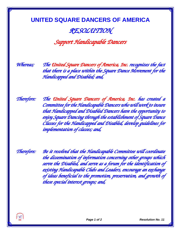#### *RESOLUTION*

#### *Support Handicapable Dancers*

*Whereas; The United Square Dancers of America, Inc. recognizes the fact that there is a place within the Square Dance Movement for the Handicapped and Disabled; and,* 

*Therefore: The United Square Dancers of America, Inc. has created a Committee for the Handicapable Dancers who will work to insure that Handicapped and Disabled Dancers have the opportunity to enjoy Square Dancing through the establishment of Square Dance Classes for the Handicapped and Disabled, develop guidelines for implementation of classes; and,* 

*Therefore: Be it resolved that the Handicapable Committee will coordinate the dissemination of information concerning other groups which serve the Disabled, and serve as a forum for the identification of existing Handicapable Clubs and Leaders, encourage an exchange of ideas beneficial to the promotion, preservation, and growth of these special interest groups; and,* 

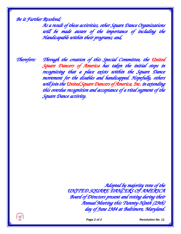*Be it Further Resolved;* 

*As a result of these activities, other Square Dance Organizations will be made aware of the importance of including the Handicapable within their programs; and,* 

*Therefore: Through the creation of this Special Committee, the United Square Dancers of America has taken the initial steps in recognizing that a place exists within the Square Dance movement for the disables and handicapped. Hopefully, others will join the United Square Dancers of America, Inc. in extending this overdue recognition and acceptance of a vital segment of the Square Dance activity.* 

> *Adopted by majority vote of the UNITED SQUARE DANCERS OF AMERICA Board of Directors present and voting during their Annual Meeting this Twenty-Ninth (29th) day of June 1984 at Baltimore, Maryland.*



 *Page 2 of 2 Resolution No. 11*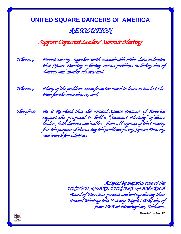#### **UNITED SQUARE DANCERS OF AMERICA** *RESOLUTION*

#### *Support Copecrest Leaders' Summit Meeting*

*Whereas; Recent surveys together with considerable other data indicates that Square Dancing is facing serious problems including loss of dancers and smaller, classes; and,* 

*Whereas; Many of the problems stem from too much to learn in too little time for the new dancer; and,* 

*Therefore: Be it Resolved that the United Square Dancers of America support the proposal to hold a "Summit Meeting" of dance leaders, both dancers and callers from all regions of the Country for the purpose of discussing the problems facing Square Dancing and search for solutions.* 

> *Adopted by majority vote of the UNITED SQUARE DANCERS OF AMERICA Board of Directors present and voting during their Annual Meeting this Twenty-Eight (28th) day of June 1985 at Birmingham, Alabama.*

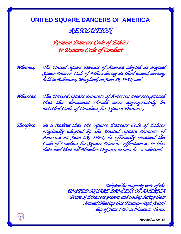#### *RESOLUTION*

*Rename Dancers Code of Ethics to Dancers Code of Conduct* 

*Whereas; The United Square Dancers of America adopted its original Square Dancers Code of Ethics during its third annual meeting held in Baltimore, Maryland, on June 29, 1984; and* 

*Whereas; The United Square Dancers of America now recognized that this document should more appropriately be entitled Code of Conduct for Square Dancers;* 

*Therefore: Be it resolved that the Square Dancers Code of Ethics originally adopted by the United Square Dancers of America on June 29, 1984, be officially renamed the Code of Conduct for Square Dancers effective as to this date and that all Member Organizations be so advised.* 

> *Adopted by majority vote of the UNITED SQUARE DANCERS OF AMERICA Board of Directors present and voting during their Annual Meeting this Twenty-Sixth (26th) day of June 1987 at Houston, Texas.*

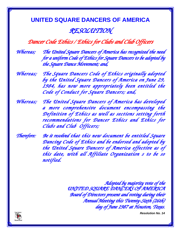#### *RESOLUTION*

#### *Dancer Code Ethics / Ethics for Clubs and Club Officers*

*Whereas; The United Square Dancers of America has recognized the need for a uniform Code of Ethics for Square Dancers to be adopted by the Square Dance Movement; and,* 

*Whereas; The Square Dancers Code of Ethics originally adopted by the United Square Dancers of America on June 29, 1984, has now more appropriately been entitled the Code of Conduct for Square Dancers; and,* 

*Whereas; The United Square Dancers of America has developed a more comprehensive document encompassing the Definition of Ethics as well as sections setting forth recommendations for Dancer Ethics and Ethics for Clubs and Club Officers;* 

*Therefore: Be it resolved that this new document be entitled Square Dancing Code of Ethics and be endorsed and adopted by the United Square Dancers of America effective as of this date, with all Affiliate Organization s to be so notified.* 

> *Adopted by majority vote of the UNITED SQUARE DANCERS OF AMERICA Board of Directors present and voting during their Annual Meeting this Twenty-Sixth (26th) day of June 1987 at Houston, Texas.*

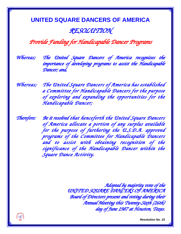#### *RESOLUTION*

#### *Provide Funding for Handicapable Dancer Programs*

*Whereas; The United Square Dancers of America recognizes the importance of developing programs to assist the Handicapable Dancer; and,* 

*Whereas; The United Square Dancers of America has established a Committee for Handicapable Dancers for the purpose of exploring and expanding the opportunities for the Handicapable Dancer;* 

*Therefore: Be it resolved that henceforth the United Square Dancers of America allocate a portion of any surplus available for the purpose of furthering the U.S.D.A. approved programs of the Committee for Handicapable Dancers and to assist with obtaining recognition of the significance of the Handicapable Dancer within the Square Dance Activity.* 

> *Adopted by majority vote of the UNITED SQUARE DANCERS OF AMERICA Board of Directors present and voting during their Annual Meeting this Twenty-Sixth (26th) day of June 1987 at Houston, Texas.*

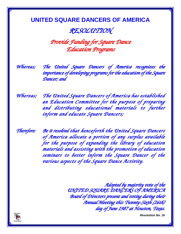#### *RESOLUTION*

*Provide Funding for Square Dance Education Programs* 

*Whereas; The United Square Dancers of America recognizes the importance of developing programs for the education of the Square Dancer; and* 

*Whereas; The United Square Dancers of America has established an Education Committee for the purpose of preparing and distributing educational materials to further inform and educate Square Dancers;* 

*Therefore: Be it resolved that henceforth the United Square Dancers of America allocate a portion of any surplus available for the purpose of expanding the library of education materials and assisting with the promotion of education seminars to better inform the Square Dancer of the various aspects of the Square Dance Activity.* 

> *Adopted by majority vote of the UNITED SQUARE DANCERS OF AMERICA Board of Directors present and voting during their Annual Meeting this Twenty-Sixth (26th) day of June 1987 at Houston, Texas.*

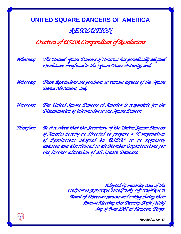#### **UNITED SQUARE DANCERS OF AMERICA** *RESOLUTION*

#### *Creation of USDA Compendium of Resolutions*

*Whereas; The United Square Dancers of America has periodically adopted Resolutions beneficial to the Square Dance Activity; and,* 

*Whereas; These Resolutions are pertinent to various aspects of the Square Dance Movement; and,* 

*Whereas; The United Square Dancers of America is responsible for the Dissemination of information to the Square Dancer;* 

*Therefore: Be it resolved that the Secretary of the United Square Dancers of America hereby be directed to prepare a "Compendium of Resolutions adopted by USDA" to be regularly updated and distributed to all Member Organizations for the further education of all Square Dancers.* 

> *Adopted by majority vote of the UNITED SQUARE DANCERS OF AMERICA Board of Directors present and voting during their Annual Meeting this Twenty-Sixth (26th) day of June 1987 at Houston, Texas.*

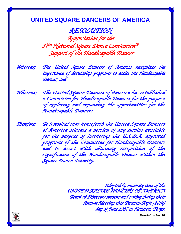*RESOLUTION Appreciation for the 37th National Square Dance Convention® Support of the Handicapable Dancer* 

*Whereas; The United Square Dancers of America recognizes the importance of developing programs to assist the Handicapable Dancer; and* 

*Whereas; The United Square Dancers of America has established a Committee for Handicapable Dancers for the purpose of exploring and expanding the opportunities for the Handicapable Dancer;* 

*Therefore: Be it resolved that henceforth the United Square Dancers of America allocate a portion of any surplus available for the purpose of furthering the U.S.D.A. approved programs of the Committee for Handicapable Dancers and to assist with obtaining recognition of the significance of the Handicapable Dancer within the Square Dance Activity.* 

> *Adopted by majority vote of the UNITED SQUARE DANCERS OF AMERICA Board of Directors present and voting during their Annual Meeting this Twenty-Sixth (26th) day of June 1987 at Houston, Texas.*

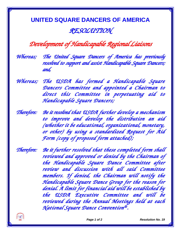#### **UNITED SQUARE DANCERS OF AMERICA** *RESOLUTION*

*Development of Handicapable Regional Liaisons* 

*Whereas; The United Square Dancers of America has previously resolved to support and assist Handicapable Square Dancers; and,* 

*Whereas; The USDA has formed a Handicapable Square Dancers Committee and appointed a Chairman to direct this Committee in perpetuating aid to Handicapable Square Dancers;* 

*Therefore: Be it resolved that USDA further develop a mechanism to improve and develop the distribution an aid (whether it be educational, organizational, monetary, or other) by using a standardized Request for Aid Form (copy of proposed form attached);* 

*Therefore: Be it further resolved that these completed form shall reviewed and approved or denied by the Chairman of the Handicapable Square Dance Committee after review and discussion with all said Committee members. If denied, the Chairman will notify the Handicapable Square Dance Group for the reason for denial. A limit for financial aid will be established by the USDA Executive Committee and will be reviewed during the Annual Meetings held at each National Square Dance Convention® .* 

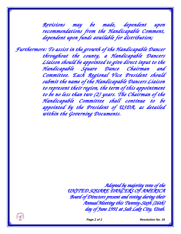*Revisions may be made, dependent upon recommendations from the Handicapable Comment, dependent upon funds available for distribution;* 

*Furthermore: To assist in the growth of the Handicapable Dancer throughout the county, a Handicapable Dancers Liaison should be appointed to give direct input to the Handicapable Square Dance Chairman and Committee. Each Regional Vice President should submit the name of the Handicapable Dancers Liaison to represent their region, the term of this appointment to be no less than two (2) years. The Chairman of the Handicapable Committee shall continue to be appointed by the President of USDA, as detailed within the Governing Documents.* 

> *Adopted by majority vote of the UNITED SQUARE DANCERS OF AMERICA Board of Directors present and voting during their Annual Meeting this Twenty-Sixth (26th) day of June 1991 at Salt Lake City, Utah.*



 *Page 2 of 2 Resolution No. 19*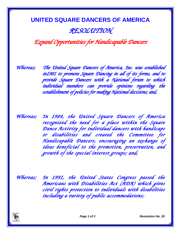#### **UNITED SQUARE DANCERS OF AMERICA** *RESOLUTION*

#### *Expand Opportunities for Handicapable Dancers*

*Whereas; The United Square Dancers of America, Inc. was established in1981 to promote Square Dancing in all of its forms, and to provide Square Dancers with a National forum to which individual members can provide opinions regarding the establishment of policies for making National decisions; and,* 

*Whereas; In 1984, the United Square Dancers of America recognized the need for a place within the Square Dance Activity for individual dancers with handicaps or disabilities and created the Committee for Handicapable Dancers, encouraging an exchange of ideas beneficial to the promotion, preservation, and growth of the special interest groups; and,* 

*Whereas; In 1991, the United States Congress passed the Americans with Disabilities Act (ADA) which gives civil rights protection to individuals with disabilities including a variety of public accommodations;*



*Page 1 of 2 Resolution No. 20*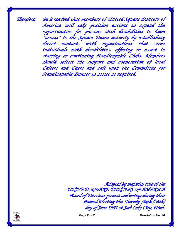*Therefore: Be it resolved that members of United Square Dancers of America will take positive actions to expand the opportunities for persons with disabilities to have "access" to the Square Dance activity by establishing direct contacts with organizations that serve individuals with disabilities, offering to assist in starting or continuing Handicapable Clubs. Members should solicit the support and cooperation of local Callers and Cuers and call upon the Committee for Handicapable Dancer to assist as required.* 

> *Adopted by majority vote of the UNITED SQUARE DANCERS OF AMERICA Board of Directors present and voting during their Annual Meeting this Twenty-Sixth (26th) day of June 1991 at Salt Lake City, Utah.*



 *Page 2 of 2 Resolution No. 20*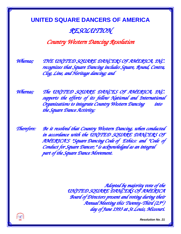#### *RESOLUTION*

*Country Western Dancing Resolution* 

*Whereas; THE UNITED SQUARE DANCERS OF AMERICA, INC. recognizes that Square Dancing includes Square, Round, Contra, Clog, Line, and Heritage dancing; and* 

*Whereas; The UNITED SQUARE DANCES OF AMERICA, INC. supports the efforts of its fellow National and International Organizations to integrate Country Western Dancing into the Square Dance Activity;* 

*Therefore: Be it resolved that Country Western Dancing, when conducted in accordance with the UNITED SQUARE DANCERS OF AMERICA'S "Square Dancing Code of Ethics: and "Code of Conduct for Square Dancer," is acknowledged as an integral part of the Square Dance Movement.* 

> *Adopted by majority vote of the UNITED SQUARE DANCERS OF AMERICA Board of Directors present and voting during their Annual Meeting this Twenty-Third (23rd ) day of June 1993 at St Louis, Missouri.*

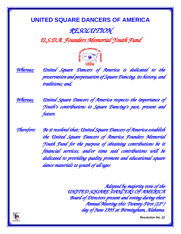## *RESOLUTION*

*U.S.D.A. Founders Memorial Youth Fund* 





 *Whereas; United Square Dancers of America is dedicated to the preservation and perpetuation of Square Dancing, its history, and traditions; and,* 

*Whereas, United Square Dancers of America respects the importance of Youth's contributions to Square Dancing's past, present and future.* 

*Therefore: Be it resolved that: United Square Dancers of America establish the United Square Dancers of America Founders Memorial Youth Fund for the purpose of obtaining contributions be it financial services, and/or time said contributions will be dedicated to providing quality promote and educational square dance materials to youth of all ages* 

> *Adopted by majority vote of the UNITED SQUARE DANCERS OF AMERICA Board of Directors present and voting during their Annual Meeting this Twenty-First (21st) day of June 1995 at Birmingham, Alabama.*

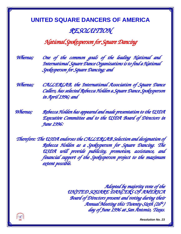#### **UNITED SQUARE DANCERS OF AMERICA** *RESOLUTION*

#### *National Spokesperson for Square Dancing*

*Whereas; One of the common goals of the leading National and International Square Dance Organizations is to find a National Spokesperson for Square Dancing; and* 

*Whereas; CALLERLAB, the International Association of Square Dance Callers, has selected Rebecca Holden a Square Dance Spokesperson in April 1996; and* 

*Whereas; Rebecca Holden has appeared and made presentation to the USDA Executive Committee and to the USDA Board of Directors in June 1996:* 

*Therefore: The USDA endorses the CALLERLAB Selection and designation of Rebecca Holden as a Spokesperson for Square Dancing. The USDA will provide publicity, promotion, assistance, and financial support of the Spokesperson project to the maximum extent possible.* 

> *Adopted by majority vote of the UNITED SQUARE DANCERS OF AMERICA Board of Directors present and voting during their Annual Meeting this Twenty-Sixth (26ht) day of June 1996 at San Antonio, Texas.*

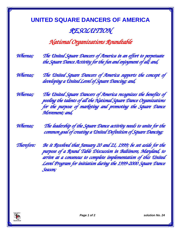#### *RESOLUTION*

*National Organizations Roundtable* 

| Whereas; | The United Square Dancers of America in an effort to perpetuate  |
|----------|------------------------------------------------------------------|
|          | the Square Dance Activity for the fun and enjoyment of all; and, |

*Whereas; The United Square Dancers of America supports the concept of developing a United Level of Square Dancing; and,* 

*Whereas; The United Square Dancers of America recognizes the benefits of pooling the talents of all the National Square Dance Organizations for the purpose of marketing and promoting the Square Dance Movement; and,* 

*Whereas; The leadership of the Square Dance activity needs to unite for the common goal of creating a United Definition of Square Dancing;* 

*Therefore: Be it Resolved that January 20 and 21, 1999; be set aside for the purpose of a Round Table Discussion in Baltimore, Maryland, to arrive at a consensus to complete implementation of this United Level Program for initiation during the 1999-2000 Square Dance Season;* 

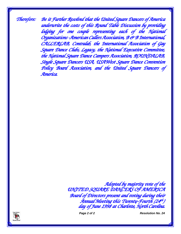*Therefore: Be it Further Resolved that the United Square Dancers of America underwrite the costs of this Round Table Discussion by providing lodging for one couple representing each of the National Organizations -American Callers Association, B & B International, CALLERLAB, Contralab, the International Association of Gay Square Dance Clubs, Legacy, the National Executive Committee, the National Square Dance Campers Association, ROUNDALAB, Single Square Dancers USA, USAWest Square Dance Convention Policy Board Association, and the United Square Dancers of America.* 

> *Adopted by majority vote of the UNITED SQUARE DANCERS OF AMERICA Board of Directors present and voting during their Annual Meeting this Twenty-Fourth (24th ) day of June 1998 at Charlotte, North Carolina.*



*Page 2 of 2 Resolution No. 24*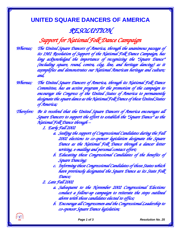#### *RESOLUTION*

#### *Support for National Folk Dance Campaign*

*Whereas; The United Square Dancers of America, through the unanimous passage of its 1981 Resolution of Support of the National Folk Dance Campaign, has long acknowledged the importance of recognizing the "Square Dance" (including square, round, contra, clog, line, and heritage dancing) as it exemplifies and demonstrates our National American heritage and culture; and,* 

*Whereas; The United Square Dancers of America, through its National Folk Dance Committee, has an active program for the promotion of the campaign to encourage the Congress of the United States of America to permanently designate the square dance as the National Folk Dance of these United States of America;* 

*Therefore: Be it resolved that the United Square Dancers of America encourages all Square Dancers to support the effort to establish the "Square Dance" as the National Folk Dance through –* 

*1. Early Fall 2002* 

- *a. Seeking the support of Congressional Candidates during the Fall 2002 elections to co-sponsor legislation designate the Square Dance as the National Folk Dance through a dancer letter writing, e-mailing and personal contact effort;*
- *b. Educating these Congressional Candidates of the benefits of Square Dancing;*
- *c. Informing these Congressional Candidates of those States which have previously designated the Square Dance as its State Folk Dance;*

*2. Late Fall 2002* 

- *a. Subsequent to the November 2002 Congressional Elections conduct a follow-up campaign to reiterate the steps outlined above with those candidates elected to office;*
- *b. Encourage all Congressmen and the Congressional Leadership to co-sponsor Square Dance legislation;*

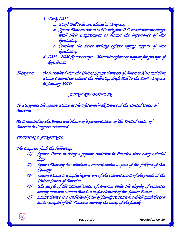*3. Early 2003* 

- *a. Draft Bill to be introduced in Congress;*
- *b. Square Dancers travel to Washington D.C. to schedule meetings with their Congressmen to discuss the importance of this legislation;*
- *c. Continue the letter writing efforts urging support of this legislation;*
- *4. 2003 2004 (if necessary) Maintain efforts of support for passage of legislation;*

**ANTISER** 

*Therefore: Be it resolved that the United Square Dancers of America National Folk Dance Committee submit the following draft Bill to the 108th Congress in January 2003:* 

#### *JOINT RESOLUTION*

*To Designate the Square Dance as the National Folk Dance of the United States of America.* 

*Be it enacted by the Senate and House of Representatives of the United States of America in Congress assembled,* 

*SECTION 1. FINDINGS.* 

#### *The Congress finds the following:*

- *(1) Square Dance as being a popular tradition in America since early colonial days.*
- *(2) Square Dancing has attained a revered status as part of the folklore of this Country.*
- *(3) Square Dance is a joyful expression of the vibrant spirit of the people of the United States of America.*
- *(4) The people of the United States of America value the display of etiquette among men and women that is a major element of the Square Dance.*
- *(5) Square Dance is a traditional form of family recreation, which symbolizes a basic strength of this Country, namely the unity of the family.*

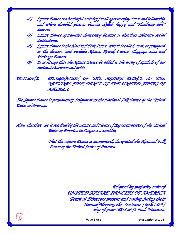- *(6) Square Dance is a healthful activity for all ages to enjoy dance and fellowship and where disabled persons become skilled, happy and "Handicap able" dancers.*
- *(7) Square Dance epitomizes democracy because it dissolves arbitrary social distinctions.*
- *(8) Square Dance is the National Folk Dance, which is called, cued, or prompted to the dancers, and includes Square, Round, Contra, Clogging, Line and Heritage Dances.*
- *(9) It is fitting that the Square Dance be added to the array of symbols of our national character and pride.*

*SECTION 2. DESIGNATION OF THE SQUARE DANCE AS THE NATIONAL FOLK DANCE OF THE UNITED STATES OF AMERICA.* 

*The Square Dance is permanently designated as the National Folk Dance of the United States of America.* 

*Now, therefore: Be it resolved by the Senate and House of Representatives of the United States of America in Congress assembled,* 

> *That the Square Dance is permanently designated the National Folk Dance of the United States of America*

> > *Adopted by majority vote of UNITED SQUARE DANCERS OF AMERICA Board of Directors present and voting during their Annual Meeting this Twenty-Sixth (26th ) day of June 2002 at St. Paul, Minnesota.*



*Page* 3 of 3 **Resolution No. 25**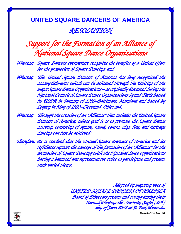#### **UNITED SQUARE DANCERS OF AMERICA** *RESOLUTION*

## *Support for the Formation of an Alliance of National Square Dance Organizations*

*Whereas; Square Dancers everywhere recognize the benefits of a United effort for the promotion of Square Dancing; and,* 

*Whereas; The United Square Dancers of America has long recognized the accomplishments which can be achieved through the Uniting of the major Square Dance Organizations – as originally discussed during the National Council of Square Dance Organizations Round Table hosted by USDA in January of 1999–Baltimore, Maryland and hosted by Legacy in May of 1999–Cleveland, Ohio; and,* 

*Whereas; Through the creation of an "Alliance" that includes the United Square Dancers of America, whose goal it is to promote the Square Dance activity, consisting of square, round, contra, clog, line, and heritage dancing can best be achieved;* 

*Therefore: Be it resolved that the United Square Dancers of America and its Affiliates support the concept of the formation of an "Alliance" for the promotion of Square Dancing with the National dance organizations having a balanced and representative voice to participate and present their varied views.* 

> *Adopted by majority vote of UNITED SQUARE DANCERS OF AMERICA Board of Directors present and voting during their Annual Meeting this Twenty-Sixth (26th ) day of June 2002 at St. Paul, Minnesota.*

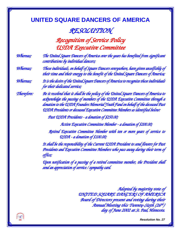#### *RESOLUTION*

*Recognition of Service Policy USDA Executive Committee* 

*Whereas; The United Square Dancers of America over the years has benefited from significant contributions by individual dancers;* 

*Whereas; These individuals, on behalf of Square Dancers everywhere, have given unselfishly of their time and their energy to the benefit of the United Square Dancers of America;* 

*Whereas; It is the desire of the United Square Dancers of America to recognize these individuals for their dedicated service;* 

*Therefore: Be it resolved that it shall be the policy of the United Square Dancers of America to acknowledge the passing of members of the USDA Executive Committee through a donation to the USDA Founders Memorial Youth Fund on behalf of the deceased Past USDA Presidents or deceased Executive Committee Members as identified below:* 

*Past USDA Presidents - a donation of \$250.00;* 

*Active Executive Committee Member - a donation of \$200.00;* 

*Retired Executive Committee Member with ten or more years of service to USDA - a donation of \$100.00;* 

*It shall be the responsibility of the Current USDA President to send flowers for Past Presidents and Executive Committee Members who pass away during their term of office;* 

*Upon notification of a passing of a retired committee member, the President shall send an appreciation of service / sympathy card.* 

> *Adopted by majority vote of UNITED SQUARE DANCERS OF AMERICA Board of Directors present and voting during their Annual Meeting this Twenty-Sixth (26th ) day of June 2002 at St. Paul, Minnesota.*

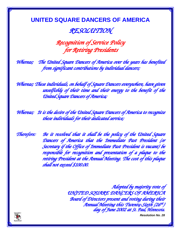#### *RESOLUTION*

*Recognition of Service Policy for Retiring Presidents* 

*Whereas; The United Square Dancers of America over the years has benefited from significant contributions by individual dancers;* 

*Whereas; These individuals, on behalf of Square Dancers everywhere, have given unselfishly of their time and their energy to the benefit of the United Square Dancers of America;* 

*Whereas; It is the desire of the United Square Dancers of America to recognize these individuals for their dedicated service;* 

*Therefore: Be it resolved that it shall be the policy of the United Square Dancers of America that the Immediate Past President (or Secretary if the Office of Immediate Past President is vacant) be responsible for recognition and presentation of a plaque to the retiring President at the Annual Meeting. The cost of this plaque shall not exceed \$100.00.* 

> *Adopted by majority vote of UNITED SQUARE DANCERS OF AMERICA Board of Directors present and voting during their Annual Meeting this Twenty-Sixth (26th ) day of June 2002 at St. Paul, Minnesota.*

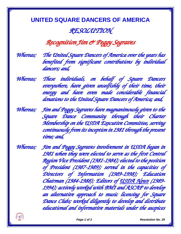#### *RESOLUTION*

#### *Recognition Jim & Peggy Segraves*

*Whereas; The United Square Dancers of America over the years has benefited from significant contributions by individual dancers; and,* 

*Whereas; These individuals, on behalf of Square Dancers everywhere, have given unselfishly of their time, their energy and have even made considerable financial donations to the United Square Dancers of America; and,* 

*Whereas; Jim and Peggy Segraves have magnanimously given to the Square Dance Community through their Charter Membership on the USDA Executive Committee, serving continuously from its inception in 1981 through the present time; and,* 

*Whereas; Jim and Peggy Segraves involvement in USDA began in 1981 when they were elected to serve as the first Central Region Vice President (1981-1984); elected to the position of President (1987-1989); served in the capacities of Directors of Information (1989-1998); Education Chairman (1984-1988); Editors of USDA News (1989- 1994); actively worked with BMI and ASCAP to develop an alternative approach to music licensing for Square Dance Clubs; worked diligently to develop and distribute educational and informative materials under the auspices* 

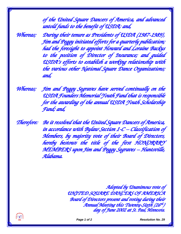*of the United Square Dancers of America, and advanced untold funds to the benefit of USDA; and,* 

*Whereas; During their tenure as Presidents of USDA (1987-1989), Jim and Peggy initiated efforts for a quarterly publication; had the foresight to appoint Howard and Loraine Backus to the position of Director of Insurance; and guided USDA's efforts to establish a working relationship with the various other National Square Dance Organizations; and,* 

*Whereas; Jim and Peggy Segraves have served continually on the USDA Founders Memorial Youth Fund that is responsible for the awarding of the annual USDA Youth Scholarship Fund; and,* 

*Therefore: Be it resolved that the United Square Dancers of America, in accordance with Bylaw Section 1-C – Classification of Members, by majority vote of their Board of Directors, hereby bestows the title of the first HONORARY MEMBERS upon Jim and Peggy Segraves – Huntsville, Alabama.* 

> *Adopted by Unanimous vote of UNITED SQUARE DANCERS OF AMERICA Board of Directors present and voting during their Annual Meeting this Twenty-Sixth (26th ) day of June 2002 at St. Paul, Minnesota.*



 *Page 1 of 2 Resolution No. 29*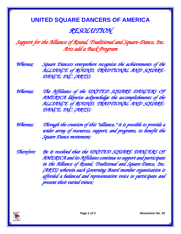#### *RESOLUTION*

*Support for the Alliance of Round, Traditional and Square-Dance, Inc. Arts add a Buck Program* 

*Whereas; Square Dancers everywhere recognize the achievements of the ALLIANCE of ROUND, TRADTIONAL AND SQUARE-DANCE, INC. (ARTS);* 

*Whereas; The Affiliates of the UNITED SQUARE DANCERS OF AMERICA likewise acknowledge the accomplishments of the ALLIANCE of ROUND, TRADTIONAL AND SQUARE-DANCE, INC. (ARTS);* 

*Whereas; Through the creation of this "alliance," it is possible to provide a wider array of resources, support, and programs, to benefit the Square Dance movement;* 

*Therefore: Be it resolved that the UNITED SQUARE DANCERS OF AMERICA and its Affiliates continue to support and participate in the Alliance of Round, Traditional and Square-Dance, Inc. (ARTS) wherein each Governing Board member organization is afforded a balanced and representative voice to participate and present their varied views;* 

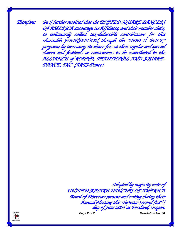*Therefore: Be if further resolved that the UNITED SQUARE DANCERS OF AMERICA encourage its Affiliates, and their member clubs, to voluntarily collect tax-deductible contributions for this charitable FOUNDATION through the "ADD A BUCK" program; by increasing its dance fees at their regular and special dances and festivals or conventions to be contributed to the ALLIANCE of ROUND, TRADTIONAL AND SQUARE-DANCE, INC. (ARTS-Dance).* 

> *Adopted by majority vote of UNITED SQUARE DANCERS OF AMERICA Board of Directors present and voting during their Annual Meeting this Twenty-Second (22nd ) day of June 2005 at Portland, Oregon.*



*Page 2 of 2 Resolution No. 30*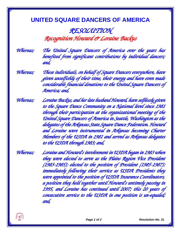*RESOLUTION Recognition Howard & Loraine Backus* 

*Whereas; The United Square Dancers of America over the years has benefited from significant contributions by individual dancers; and,* 

*Whereas; These individuals, on behalf of Square Dancers everywhere, have given unselfishly of their time, their energy and have even made considerable financial donations to the United Square Dancers of America; and,* 

*Whereas; Loraine Backus, and her late husband Howard, have selflessly given to the Square Dance Community on a National level since 1981 through their participation at the organizational meeting of the United Square Dancers of America in Seattle, Washington as the delegates of the Arkansas State Square Dance Federation. Howard and Loraine were instrumental in Arkansas becoming Charter Members of the USDA in 1981 and served as Arkansas delegates to the USDA through 1983; and,* 

*Whereas; Loraine and Howard's involvement in USDA began in 1983 when they were elected to serve as the Plains Region Vice President (1983-1985); elected to the position of President (1985-1987); immediately following their service as USDA Presidents they were appointed to the position of USDA Insurance Coordinators, a position they held together until Howard's untimely passing in 1995, and Loraine has continued until 2007; this 20 years of consecutive service to the USDA in one position is un-equaled; and,*

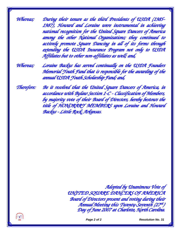*Whereas; During their tenure as the third Presidents of USDA (1985- 1987), Howard and Loraine were instrumental in achieving national recognition for the United Square Dancers of America among the other National Organizations; they continued to actively promote Square Dancing in all of its forms through extending the USDA Insurance Program not only to USDA Affiliates but to other non-affiliates as well; and,* 

*Whereas; Loraine Backus has served continually on the USDA Founders Memorial Youth Fund that is responsible for the awarding of the annual USDA Youth Scholarship Fund; and,* 

*Therefore: Be it resolved that the United Square Dancers of America, in accordance with Bylaw Section 1-C - Classification of Members, by majority vote of their Board of Directors, hereby bestows the title of HONORARY MEMBERS upon Loraine and Howard Backus - Little Rock, Arkansas.* 

> *Adopted by Unanimous Vote of UNITED SQUARE DANCERS OF AMERICA Board of Directors present and voting during their Annual Meeting this Twenty-Seventh (27th ) Day of June 2007 at Charlotte, North Carolina.*



*Page 2 of 2* Resolution No. 31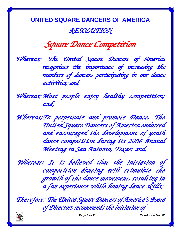**UNITED SQUARE DANCERS OF AMERICA** *RESOLUTION* 

*Square Dance Competition* 

*Whereas; The United Square Dancers of America recognizes the importance of increasing the numbers of dancers participating in our dance activities; and,* 

*Whereas; Most people enjoy healthy competition; and,* 

*Whereas; To perpetuate and promote Dance, The United Square Dancers of America endorsed and encouraged the development of youth dance competition during its 2006 Annual Meeting in San Antonio, Texas; and,* 

*Whereas; It is believed that the initiation of competition dancing will stimulate the growth of the dance movement, resulting in a fun experience while honing dance skills;* 

*Therefore: The United Square Dancers of America's Board of Directors recommends the initiation of*



 *Page 1 of 2 Resolution No. 32*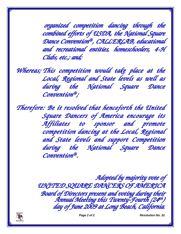*organized competition dancing through the combined efforts of USDA, the National Square Dance Convention® , CALLERLAB, educational and recreational entities, homeschoolers, 4-H Clubs, etc.; and;*

*Whereas; This competition would take place at the Local, Regional and State levels as well as during the National Square Dance Convention® ;* 

*Therefore: Be it resolved that henceforth the United Square Dancers of America encourage its Affiliates to sponsor and promote competition dancing at the Local, Regional and State levels and support Competition during the National Square Dance Convention® .* 

> *Adopted by majority vote of UNITED SQUARE DANCERS OF AMERICA Board of Directors present and voting during their Annual Meeting this Twenty-Fourth (24th ) day of June 2009 at Long Beach, California.*



 *Page 2 of 2 Resolution No. 32*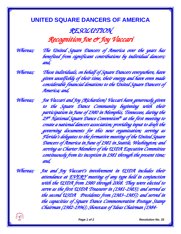### *RESOLUTION Recognition Joe & Joy Vaccari*

*Whereas; The United Square Dancers of America over the years has benefited from significant contributions by individual dancers; and,* 

*Whereas; These individuals, on behalf of Square Dancers everywhere, have given unselfishly of their time, their energy and have even made considerable financial donations to the United Square Dancers of America; and,* 

*Whereas; Joe Vaccari and Joy (Richardson) Vaccari have generously given to the Square Dance Community beginning with their participation in June of 1980 in Memphis, Tennessee, during the 29th National Square Dance Convention® at the first meeting to create a national dancers association; providing input to draft the governing documents for this new organization; serving as Florida's delegates to the formative meeting of the United Square Dancers of America in June of 1981 in Seattle, Washington; and serving as Charter Members of the USDA Executive Committee continuously from its inception in 1981 through the present time; and,* 

*Whereas; Joe and Joy Vaccari's involvement in USDA includes their attendance at EVERY meeting of any type held in conjunction with the USDA from 1980 through 2008. They were elected to serve as the first USDA Treasurer in (1981-1983); and served as the second USDA Presidents from (1983–1985); and served in the capacities of Square Dance Commemorative Postage Stamp Chairman (1982-1996); Showcase of Ideas Chairman (1984-*

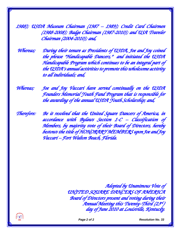*1988); USDA Museum Chairman (1987 – 1989); Credit Card Chairmen (1988-2008); Badge Chairman (1987-2010); and USA Traveler Chairman (2004-2010); and,* 

 *Whereas; During their tenure as Presidents of USDA, Joe and Joy coined the phrase "Handicapable Dancers," and initiated the USDA Handicapable Program which continues to be an integral part of the USDA's annual activities to promote this wholesome activity to all individuals; and,* 

*Whereas; Joe and Joy Vaccari have served continually on the USDA Founders Memorial Youth Fund Program that is responsible for the awarding of the annual USDA Youth Scholarship; and,* 

*Therefore: Be it resolved that the United Square Dancers of America, in accordance with Bylaws Section 1-C – Classification of Members, by majority vote of their Board of Directors, hereby bestows the title of HONORARY MEMBERS upon Joe and Joy Vaccari – Fort Walton Beach, Florida.* 

> *Adopted by Unanimous Vote of UNITED SQUARE DANCERS OF AMERICA Board of Directors present and voting during their Annual Meeting this Twenty-Third (23rd ) day of June 2010 at Louisville, Kentucky.*



 *Page 2 of 2 Resolution No. 33*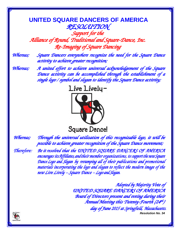#### **UNITED SQUARE DANCERS OF AMERICA** *RESOLUTION Support for the Alliance of Round, Traditional and Square-Dance, Inc.*

*Re-Imaging of Square Dancing* 

*Whereas; Square Dancers everywhere recognize the need for the Square Dance activity to achieve greater recognition;* 

*Whereas; A united effort to achieve universal acknowledgement of the Square Dance activity can be accomplished through the establishment of a single logo / symbol and slogan to identify the Square Dance activity;* 



*Whereas; Through the universal utilization of this recognizable logo, it will be possible to achieve greater recognition of the Square Dance movement;* 

*Therefore: Be it resolved that the UNITED SQUARE DANCERS OF AMERICA encourages its Affiliates, and their member organizations, to support the new Square Dance Logo and Slogan by revamping all of their publications and promotional materials incorporating the logo and slogan to reflect the modern image of the new Live Lively – Square Dance – Logo and Slogan.* 

> *Resolution No. 34 Adopted by Majority Vote of UNITED SQUARE DANCERS OF AMERICA Board of Directors present and voting during their Annual Meeting this Twenty-Fourth (24th ) day of June 2015 at Springfield, Massachusetts.*

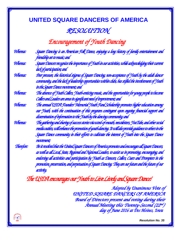#### *RESOLUTION*

*Encouragement of Youth Dancing* 

| Whereas:          | Square Dancing is an American Folk Dance, enjoying a long history of family entertainment and                |
|-------------------|--------------------------------------------------------------------------------------------------------------|
|                   | friendship set to music; and                                                                                 |
| Whereas:          | Square Dancers recognize the importance of Youth in our activities, while acknowledging their current        |
|                   | lack of participation; and                                                                                   |
| Whereas:          | Peer pressure, the historical stigma of Square Dancing, non-acceptance of Youth by the adult dancer          |
|                   | community, and the lack of leadership opportunities within clubs, has stifled the involvement of Youth       |
|                   | in the Square Dance movement; and                                                                            |
| Whereas:          | <u> The absence of Youth Callers, Youth-enticing music, and the opportunities for young people to become</u> |
|                   | Callers and Leaders are areas in significant need of improvement; and                                        |
| Whereas:          | The annual USDA Founders' Memorial Youth Fund Scholarship promotes higher education among                    |
|                   | our Youth, with the continuation of this program contingent upon ongoing financial support and               |
|                   | <u>disemination of information to the Youth by the dancing community; and </u>                               |
| Whereas:          | The gathering and sharing of success stories via $u$ ord-of-mouth, newsletters, YouTube, and other social    |
|                   | media outlets, will enhance the promotion of youth dancing. It will also provide guidance to others in the   |
|                   | Square Dance community in their efforts to cultionte the interest of Youth into the Square Dance             |
|                   | movement;                                                                                                    |
| <b>Therefore:</b> | Be it resolved that the United Square Dancers of America promotes and encourages all Square Dancers,         |
|                   | as well as all Local, State, Regional and National Leaders, to assist us in promoting, encouraging, and      |
|                   | endorsing all activities and participation by Youth as Dancers, Callers, Cuers and Prompters in the          |
|                   | promotion, preservation, and perpetuation of Square Dancing. They are our future and the future of our       |
|                   | activity.                                                                                                    |

*The USDA encourages our Youth to Live Lively and Square Dance!* 

*Adopted by Unanimous Vote of UNITED SQUARE DANCERS OF AMERICA Board of Directors present and voting during their Annual Meeting this Twenty-Second (22nd ) day of June 2016 at Des Moines, Iowa*

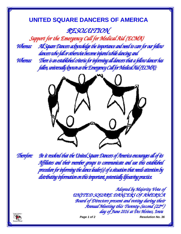*RESOLUTION* 

*Support for the Emergency Call for Medical Aid (ECMA)*

*Whereas: All Square Dancers acknowledge the importance and need to care for our fellow dancers who fall or otherwise become injured while dancing; and* 

*Whereas: There is an established criteria for informing all dancers that a fellow dancer has fallen, universally known as the Emergency Call for Medical Aid (ECMA);* 



*Therefore: Be it resolved that the United Square Dancers of America encourages all of its Affiliates and their member groups to communicate and use this established procedure for informing the dance leader(s) of a situation that needs attention by distributing information on this important, potentially lifesaving practice.* 

> *Adopted by Majority Vote of UNITED SQUARE DANCERS OF AMERICA Board of Directors present and voting during their Annual Meeting this Twenty-Second (22nd ) day of June 2016 at Des Moines, Iowa*



*Page 1 of 2 Resolution No. 36*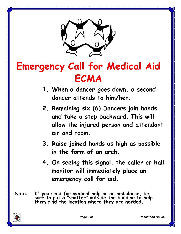

# **Emergency Call for Medical Aid ECMA**

- **1. When a dancer goes down, a second dancer attends to him/her.**
- **2. Remaining six (6) Dancers join hands and take a step backward. This will allow the injured person and attendant air and room.**
- **3. Raise joined hands as high as possible in the form of an arch.**
- **4. On seeing this signal, the caller or hall monitor will immediately place an emergency call for aid.**
- **Note: If you send for medical help or an ambulance, be sure to put a "spotter" outside the building to help them find the location where they are needed.**

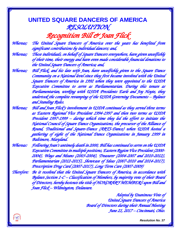#### **UNITED SQUARE DANCERS OF AMERICA** *RESOLUTION*

*Recognition Bill & Joan Flick Whereas; The United Square Dancers of America over the years has benefited from significant contributions by individual dancers; and,* 

 *Whereas; These individuals, on behalf of Square Dancers everywhere, have given unselfishly of their time, their energy and have even made considerable financial donations to the United Square Dancers of America; and,* 

 *Whereas; Bill Flick, and his late wife Joan, have unselfishly given to the Square Dance Community on a National level since they first became involved with the United Square Dancers of America in 1992 when they were appointed to the USDA Executive Committee to serve as Parliamentarian. During this tenure as Parliamentarian, working with USDA Presidents Earle and Joy Hoyte, they undertook the complete revamping of the USDA Governing Documents – Bylaws and Standing Rules.* 

 *Whereas; Bill and Joan Flick's involvement in USDA continued as they served three terms as Eastern Regional Vice President 1994-1997 and then two terms as USDA President 1997-1999 – during which time they led the effort to initiate the National Council of Square Dance Organizations, the precursor of the Alliance of Round, Traditional and Square-Dance (ARTS-Dance) when USDA hosted a gathering of eight of the National Dance Organizations in January 1999 in Baltimore, Maryland.* 

 *Whereas: Following Joan's untimely death in 2000, Bill has continued to serve on the USDA Executive Committee in multiple positions, Eastern Region Vice President (2000- 2004), Ways and Means (2003-2004), Treasurer (2004-2007 and 2010-2012), Parliamentarian (2012-2015), Showcase of Ideas (2007-2010 and 2014-2017), Prescription Drug Card (2007-2017), Long Term Care (2007-2009)* 

 *Therefore: Be it resolved that the United Square Dancers of America, in accordance with Bylaws Section 1-C – Classification of Members, by majority vote of their Board of Directors, hereby bestows the title of HONORARY MEMBERS upon Bill and Joan Flick – Wilmington, Delaware.* 

> *Adopted by Unanimous Vote of United Square Dancers of America Board of Directors during their Annual Meeting June 21, 2017 – Cincinnati, Ohio.*

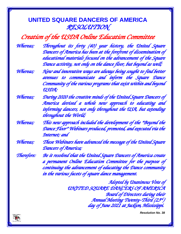#### **UNITED SQUARE DANCERS OF AMERICA** *RESOLUTION*

| Creation of the USDA Online Education Committee |  |  |  |
|-------------------------------------------------|--|--|--|
|-------------------------------------------------|--|--|--|

*Whereas; Throughout its forty (40) year history, the United Square Dancers of America has been at the forefront of dissemination of educational materials focused on the advancement of the Square Dance activity, not only on the dance floor, but beyond as well;* 

- *Whereas; New and innovative ways are always being sought to find better avenues to communicate and inform the Square Dance Community of the various programs that exist within and beyond USDA;*
- *Whereas; During 2020 the creative minds of the United Square Dancers of America devised a whole new approach to educating and informing dancers, not only throughout the USA, but extending throughout the World;*
- *Whereas; This new approach included the development of the "Beyond the Dance Floor" Webinars produced, promoted, and executed via the Internet; and*
- *Whereas; These Webinars have advanced the message of the United Square Dancers of America;*

*Therefore: Be it resolved that the United Square Dancers of America create a permanent Online Education Committee for the purpose of continuing the advancement of educating the Dance community in the various facets of square dance management.* 

> *Adopted by Unanimous Vote of UNITED SQUARE DANCERS OF AMERICA Board of Directors during their Annual Meeting Twenty-Third (23rd ) day of June 2021 at Jackson, Mississippi.*

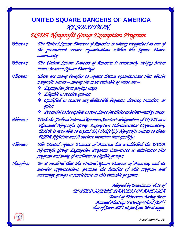|                                        | <u>UNITED SQUARE DANCERS OF AMERICA</u><br>RESOLUTION                                                                                                                                                                                                              |  |
|----------------------------------------|--------------------------------------------------------------------------------------------------------------------------------------------------------------------------------------------------------------------------------------------------------------------|--|
| USDA Nonprofit Group Exemption Program |                                                                                                                                                                                                                                                                    |  |
| Whereas;                               | The United Square Dancers of America is widely recognized as one of<br>the preeminent service organizations within the Square Dance<br>community;                                                                                                                  |  |
| Whereas;                               | The United Square Dancers of America is constantly seeking better<br>means to serve Square Dancing;                                                                                                                                                                |  |
| Whereas;                               | There are many benefits to Square Dance organizations that obtain<br>nonprofit status – among the most valuable of these are –                                                                                                                                     |  |
|                                        | ** Exemption from paying taxes;                                                                                                                                                                                                                                    |  |
|                                        | <b>E</b> ligible to receive grants;<br>** Qualified to receive tax deductible bequests, devises, transfers, or<br>gifts;                                                                                                                                           |  |
|                                        | ** Potential to be eligible to rent dance facilities as below-market rates;                                                                                                                                                                                        |  |
| Whereas:                               | With the Federal Internal Revenue Service's designation of USDA as a<br>National Nonprofit Group Exemption Administrator Organization,<br>USDA is now able to extend IRS 501(c)(3) Nonprofit Status to those<br>USDA Affiliate and Associate members that qualify; |  |
| Whereas:                               | The United Square Dancers of America has established the USDA<br>Nonprofit Group Exemption Program Committee to administer this<br>program and make if available to eligible groups;                                                                               |  |
| Therefore:                             | Be it resolved that the United Square Dancers of America, and its<br>member organizations, promote the benefits of this program and<br>encourage groups to participate in this valuable program.                                                                   |  |
|                                        | Adopted by Unanimous Vote of<br>UNITED SQUARE DANCERS OF AMERICA<br>Board of Directors during their<br>Annual Meeting Twenty-Third (23ª)                                                                                                                           |  |

一种

 *Resolution No. 39* 

 *day of June 2021 at Jackson, Mississippi.*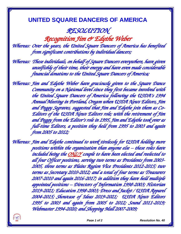*RESOLUTION* 

*Recognition Jim & Edythe Weber Whereas: Over the years, the United Square Dancers of America has benefited from significant contributions by individual dancers;* 

*Whereas: These individuals, on behalf of Square Dancers everywhere, have given unselfishly of their time, their energy and have even made considerable financial donations to the United Square Dancers of America;* 

*Whereas: Jim and Edythe Weber have graciously given to the Square Dance Community on a National level since they first became involved with the United Square Dancers of America following the USDA's 1994 Annual Meeting in Portland, Oregon when USDA News Editors, Jim and Peggy Segraves, suggested that Jim and Edythe join them as Co-Editors of the USDA News Editors role; with the retirement of Jim and Peggy from the Editor's role in 1995, Jim and Edythe took over as full-time Editors, a position they held from 1995 to 2003 and again from 2005 to 2012;* 

*Whereas: Jim and Edythe continued to work tirelessly for USDA holding more positions within the organization than anyone else – these roles have included being the ONLY couple to have been elected and reelected to all four Officer positions, serving two terms as Presidents from 2003- 2005, three terms as Plains Region Vice Presidents 2012-2015; two terms as Secretary 2010-2012; and a total of four terms as Treasurers 2007-2010 and again 2016-2017; in addition they have held multiple appointed positions – Directors of Information 1998-2003; Historian 2019-2021; Education 1998-2003; Dress and Jacket / USDA Apparel 2004-2015; Showcase of Ideas 2019-2021; USDA News Editors 1995 to 2003 and again from 2005 to 2012; Sound 2011-2019; Webmaster 1994-2020; and Shopping Mall 2007-2009;*



*Page 1 of 2 Resolution No. 40*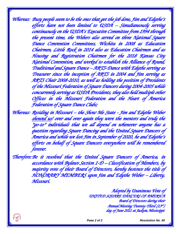*Whereas: Busy people seem to be the ones that get the job done, Jim and Edythe's efforts have not been limited to USDA – Simultaneously serving continuously on the USDA's Executive Committee from 1994 through the present time, the Webers also served on three National Square Dance Convention Committees, Wichita in 2008 as Education Chairmen, Little Rock in 2014 also as Education Chairmen and as Housing and Registration Chairmen for the 2018 Kansas City National Convention, and worked to establish the Alliance of Round, Traditional and Square Dance – ARTS-Dance with Edythe serving as Treasurer since the inception of ARTS in 2004 and Jim serving as ARTS Chair 2008-2010, as well as holding the position of Presidents of the Missouri Federation of Square Dancers during 2004-2005 while concurrently serving as USDA Presidents, they also held multiple other Offices in the Missouri Federation and the Heart of America Federation of Square Dance Clubs;* 

*Whereas: Residing in Missouri – the Show Me State - Jim and Edythe Weber showed us! over and over again they were the mentors and truly the "go-to" individuals that we all depend on whenever anyone has a question regarding Square Dancing and the United Square Dancers of America and while we lost Jim in September of 2020, he and Edythe's efforts on behalf of Square Dancers everywhere will be remembered forever.* 

*Therefore: Be it resolved that the United Square Dancers of America, in accordance with Bylaws Section 1-D – Classification of Members, by majority vote of their Board of Directors, hereby bestows the title of HONORARY MEMBERS upon Jim and Edythe Weber – Liberty, Missouri.* 

> *Adopted by Unanimous Vote of UNITED SQUARE DANCERS OF AMERICA Board of Directors during their Annual Meeting Twenty-Third (23rd ) day of June 2021 at Jackson, Mississippi.*



*Page 2 of 2 Resolution No. 40*